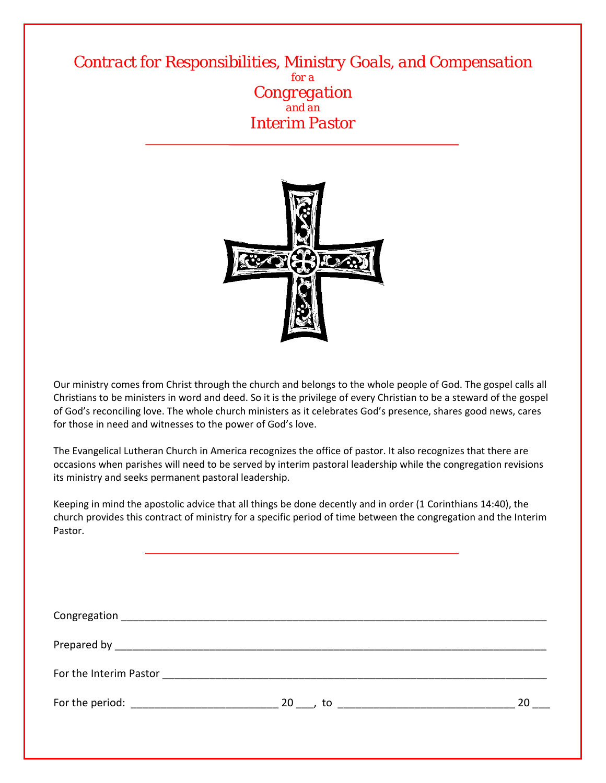*Contract for Responsibilities, Ministry Goals, and Compensation for a Congregation and an Interim Pastor*



Our ministry comes from Christ through the church and belongs to the whole people of God. The gospel calls all Christians to be ministers in word and deed. So it is the privilege of every Christian to be a steward of the gospel of God's reconciling love. The whole church ministers as it celebrates God's presence, shares good news, cares for those in need and witnesses to the power of God's love.

The Evangelical Lutheran Church in America recognizes the office of pastor. It also recognizes that there are occasions when parishes will need to be served by interim pastoral leadership while the congregation revisions its ministry and seeks permanent pastoral leadership.

Keeping in mind the apostolic advice that all things be done decently and in order (1 Corinthians 14:40), the church provides this contract of ministry for a specific period of time between the congregation and the Interim Pastor.

| For the period: The above the series of the series of the series of the series of the series of the series of the series of the series of the series of the series of the series of the series of the series of the series of |  | 20 |  |  |  |
|-------------------------------------------------------------------------------------------------------------------------------------------------------------------------------------------------------------------------------|--|----|--|--|--|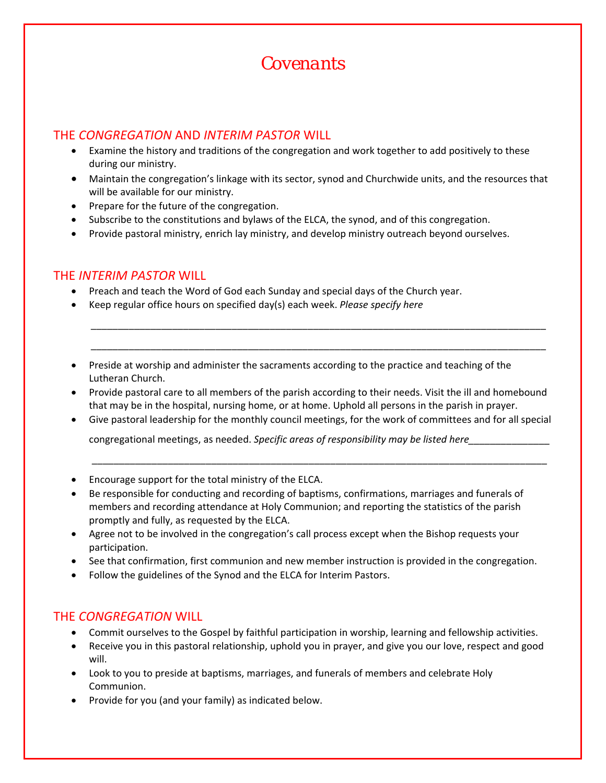# *Covenants*

## THE *CONGREGATION* AND *INTERIM PASTOR* WILL

- Examine the history and traditions of the congregation and work together to add positively to these during our ministry.
- Maintain the congregation's linkage with its sector, synod and Churchwide units, and the resources that will be available for our ministry.
- Prepare for the future of the congregation.
- Subscribe to the constitutions and bylaws of the ELCA, the synod, and of this congregation.
- Provide pastoral ministry, enrich lay ministry, and develop ministry outreach beyond ourselves.

#### THE *INTERIM PASTOR* WILL

- Preach and teach the Word of God each Sunday and special days of the Church year.
- Keep regular office hours on specified day(s) each week. *Please specify here*
- **•** Preside at worship and administer the sacraments according to the practice and teaching of the Lutheran Church.
- Provide pastoral care to all members of the parish according to their needs. Visit the ill and homebound that may be in the hospital, nursing home, or at home. Uphold all persons in the parish in prayer.

\_\_\_\_\_\_\_\_\_\_\_\_\_\_\_\_\_\_\_\_\_\_\_\_\_\_\_\_\_\_\_\_\_\_\_\_\_\_\_\_\_\_\_\_\_\_\_\_\_\_\_\_\_\_\_\_\_\_\_\_\_\_\_\_\_\_\_\_\_\_\_\_\_\_\_\_\_\_\_\_\_\_\_\_

\_\_\_\_\_\_\_\_\_\_\_\_\_\_\_\_\_\_\_\_\_\_\_\_\_\_\_\_\_\_\_\_\_\_\_\_\_\_\_\_\_\_\_\_\_\_\_\_\_\_\_\_\_\_\_\_\_\_\_\_\_\_\_\_\_\_\_\_\_\_\_\_\_\_\_\_\_\_\_\_\_\_\_\_

Give pastoral leadership for the monthly council meetings, for the work of committees and for all special

congregational meetings, as needed. *Specific areas of responsibility may be listed here\_\_\_\_\_\_\_\_\_\_\_\_\_\_\_*

- Encourage support for the total ministry of the ELCA.
- Be responsible for conducting and recording of baptisms, confirmations, marriages and funerals of members and recording attendance at Holy Communion; and reporting the statistics of the parish promptly and fully, as requested by the ELCA.

 *\_\_\_\_\_\_\_\_\_\_\_\_\_\_\_\_\_\_\_\_\_\_\_\_\_\_\_\_\_\_\_\_\_\_\_\_\_\_\_\_\_\_\_\_\_\_\_\_\_\_\_\_\_\_\_\_\_\_\_\_\_\_\_\_\_\_\_\_\_\_\_\_\_\_\_\_\_\_\_\_\_\_\_\_*

- Agree not to be involved in the congregation's call process except when the Bishop requests your participation.
- See that confirmation, first communion and new member instruction is provided in the congregation.
- Follow the guidelines of the Synod and the ELCA for Interim Pastors.

### THE *CONGREGATION* WILL

- Commit ourselves to the Gospel by faithful participation in worship, learning and fellowship activities.
- Receive you in this pastoral relationship, uphold you in prayer, and give you our love, respect and good will.
- Look to you to preside at baptisms, marriages, and funerals of members and celebrate Holy Communion.
- Provide for you (and your family) as indicated below.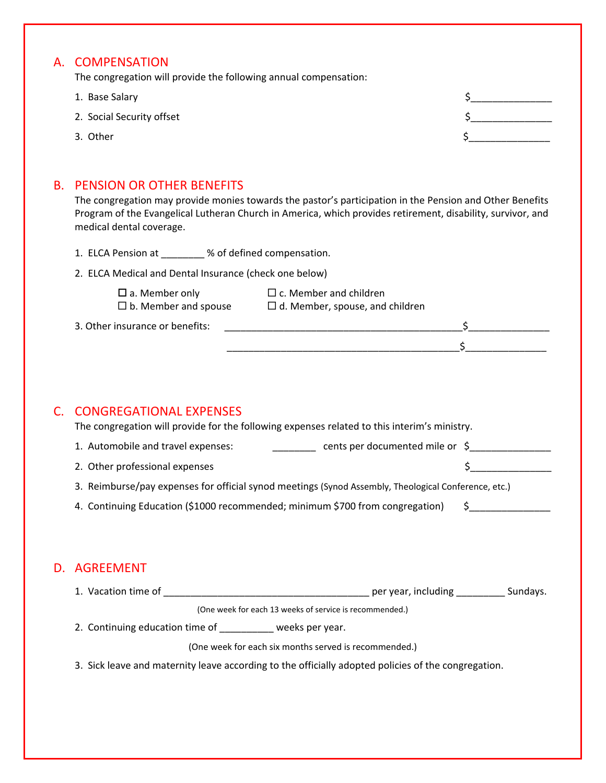## A. COMPENSATION

The congregation will provide the following annual compensation:

- 1. Base Salary 3. 2008 1. 2008 1. 2009 1. 2009 1. 2009 1. 2009 1. 2009 1. 2009 1. 2009 1. 2009 1. 2009 1. 2009
- 2. Social Security offset **by a structure of the structure of the structure of the structure of the structure of the structure of the structure of the structure of the structure of the structure of the structure of the str**
- 3. Other  $\zeta$

## B. PENSION OR OTHER BENEFITS

The congregation may provide monies towards the pastor's participation in the Pension and Other Benefits Program of the Evangelical Lutheran Church in America, which provides retirement, disability, survivor, and medical dental coverage.

|                                                                                                                                                              | r rogram or the Evangencal Eutheran Church in America, which provides retirement, disability, survivor, and<br>medical dental coverage. |  |               |          |
|--------------------------------------------------------------------------------------------------------------------------------------------------------------|-----------------------------------------------------------------------------------------------------------------------------------------|--|---------------|----------|
|                                                                                                                                                              | 1. ELCA Pension at ________ % of defined compensation.                                                                                  |  |               |          |
|                                                                                                                                                              | 2. ELCA Medical and Dental Insurance (check one below)                                                                                  |  |               |          |
|                                                                                                                                                              | $\square$ c. Member and children<br>$\square$ a. Member only<br>$\Box$ b. Member and spouse $\Box$ d. Member, spouse, and children      |  |               |          |
|                                                                                                                                                              | 3. Other insurance or benefits:                                                                                                         |  |               |          |
|                                                                                                                                                              |                                                                                                                                         |  |               |          |
|                                                                                                                                                              |                                                                                                                                         |  |               |          |
|                                                                                                                                                              |                                                                                                                                         |  |               |          |
| C.                                                                                                                                                           | <b>CONGREGATIONAL EXPENSES</b><br>The congregation will provide for the following expenses related to this interim's ministry.          |  |               |          |
|                                                                                                                                                              |                                                                                                                                         |  |               |          |
|                                                                                                                                                              | 2. Other professional expenses                                                                                                          |  |               | $\sharp$ |
| 3. Reimburse/pay expenses for official synod meetings (Synod Assembly, Theological Conference, etc.)                                                         |                                                                                                                                         |  |               |          |
|                                                                                                                                                              | 4. Continuing Education (\$1000 recommended; minimum \$700 from congregation)                                                           |  | $\sim$ $\sim$ |          |
|                                                                                                                                                              |                                                                                                                                         |  |               |          |
|                                                                                                                                                              |                                                                                                                                         |  |               |          |
|                                                                                                                                                              | <b>D. AGREEMENT</b>                                                                                                                     |  |               |          |
|                                                                                                                                                              |                                                                                                                                         |  |               |          |
| (One week for each 13 weeks of service is recommended.)                                                                                                      |                                                                                                                                         |  |               |          |
|                                                                                                                                                              | 2. Continuing education time of ________ weeks per year.                                                                                |  |               |          |
| (One week for each six months served is recommended.)<br>3. Sick leave and maternity leave according to the officially adopted policies of the congregation. |                                                                                                                                         |  |               |          |